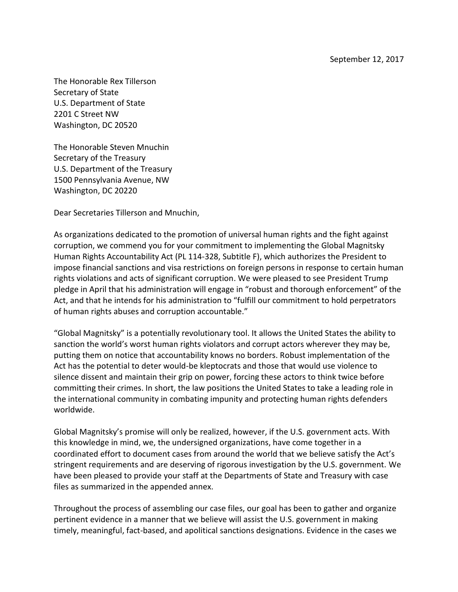The Honorable Rex Tillerson Secretary of State U.S. Department of State 2201 C Street NW Washington, DC 20520

The Honorable Steven Mnuchin Secretary of the Treasury U.S. Department of the Treasury 1500 Pennsylvania Avenue, NW Washington, DC 20220

Dear Secretaries Tillerson and Mnuchin,

As organizations dedicated to the promotion of universal human rights and the fight against corruption, we commend you for your commitment to implementing the Global Magnitsky Human Rights Accountability Act (PL 114-328, Subtitle F), which authorizes the President to impose financial sanctions and visa restrictions on foreign persons in response to certain human rights violations and acts of significant corruption. We were pleased to see President Trump pledge in April that his administration will engage in "robust and thorough enforcement" of the Act, and that he intends for his administration to "fulfill our commitment to hold perpetrators of human rights abuses and corruption accountable."

"Global Magnitsky" is a potentially revolutionary tool. It allows the United States the ability to sanction the world's worst human rights violators and corrupt actors wherever they may be, putting them on notice that accountability knows no borders. Robust implementation of the Act has the potential to deter would-be kleptocrats and those that would use violence to silence dissent and maintain their grip on power, forcing these actors to think twice before committing their crimes. In short, the law positions the United States to take a leading role in the international community in combating impunity and protecting human rights defenders worldwide.

Global Magnitsky's promise will only be realized, however, if the U.S. government acts. With this knowledge in mind, we, the undersigned organizations, have come together in a coordinated effort to document cases from around the world that we believe satisfy the Act's stringent requirements and are deserving of rigorous investigation by the U.S. government. We have been pleased to provide your staff at the Departments of State and Treasury with case files as summarized in the appended annex.

Throughout the process of assembling our case files, our goal has been to gather and organize pertinent evidence in a manner that we believe will assist the U.S. government in making timely, meaningful, fact-based, and apolitical sanctions designations. Evidence in the cases we